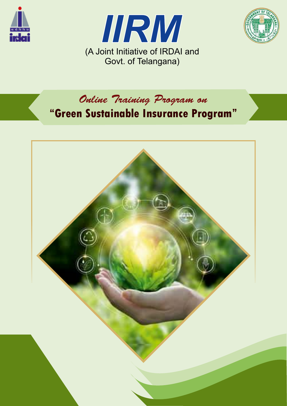





Online Training Program on

 **Green Sustainable Insurance Program**

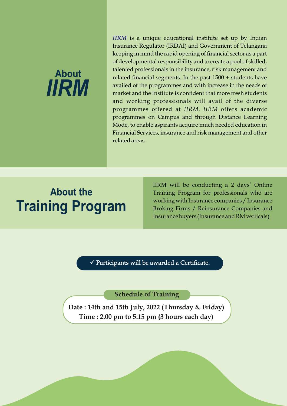

*IIRM* is a unique educational institute set up by Indian Insurance Regulator (IRDAI) and Government of Telangana keeping in mind the rapid opening of financial sector as a part of developmental responsibility and to create a pool of skilled, talented professionals in the insurance, risk management and related financial segments. In the past 1500 + students have availed of the programmes and with increase in the needs of market and the Institute is confident that more fresh students and working professionals will avail of the diverse programmes offered at *IIRM*. *IIRM* offers academic programmes on Campus and through Distance Learning Mode, to enable aspirants acquire much needed education in Financial Services, insurance and risk management and other related areas.

# **Training Program About the**

IIRM will be conducting a 2 days' Online Training Program for professionals who are working with Insurance companies / Insurance Broking Firms / Reinsurance Companies and Insurance buyers (Insurance and RM verticals).

 $\checkmark$  Participants will be awarded a Certificate.

**Schedule of Training**

**Date : 14th and 15th July, 2022 (Thursday & Friday) Time : 2.00 pm to 5.15 pm (3 hours each day)**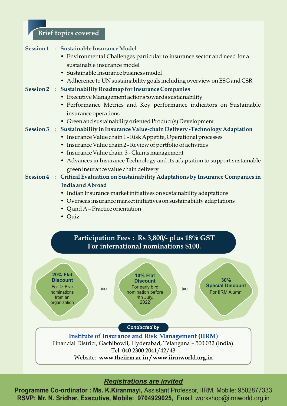### **Brief topics covered**



## *Registrations are invited*

**Programme Co-ordinator : Ms. K.Kiranmayi,** Assistant Professor, IIRM, Mobile: 9502877333 **RSVP: Mr. N. Sridhar, Executive, Mobile: 9704929025,** Email: workshop@iirmworld.org.in